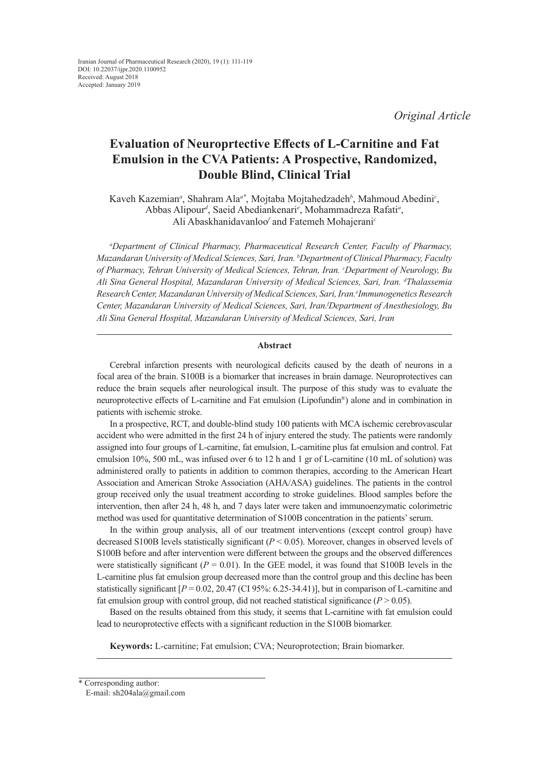*Original Article*

# **Evaluation of Neuroprtective Effects of L-Carnitine and Fat Emulsion in the CVA Patients: A Prospective, Randomized, Double Blind, Clinical Trial**

Kaveh Kazemian*<sup>a</sup>* , Shahram Ala*a\**, Mojtaba Mojtahedzadeh*<sup>b</sup>* , Mahmoud Abedini*<sup>c</sup>* , Abbas Alipour*<sup>d</sup>* , Saeid Abediankenari*<sup>e</sup>* , Mohammadreza Rafati*<sup>a</sup>* , Ali Abaskhanidavanloo*<sup>f</sup>* and Fatemeh Mohajerani*<sup>c</sup>*

*a Department of Clinical Pharmacy, Pharmaceutical Research Center, Faculty of Pharmacy, Mazandaran University of Medical Sciences, Sari, Iran. b Department of Clinical Pharmacy, Faculty of Pharmacy, Tehran University of Medical Sciences, Tehran, Iran. c Department of Neurology, Bu Ali Sina General Hospital, Mazandaran University of Medical Sciences, Sari, Iran. d Thalassemia*  Research Center, Mazandaran University of Medical Sciences, Sari, Iran.<sup>e</sup>Immunogenetics Research *Center, Mazandaran University of Medical Sciences, Sari, Iran.f Department of Anesthesiology, Bu Ali Sina General Hospital, Mazandaran University of Medical Sciences, Sari, Iran*

## **Abstract**

Cerebral infarction presents with neurological deficits caused by the death of neurons in a focal area of the brain. S100B is a biomarker that increases in brain damage. Neuroprotectives can reduce the brain sequels after neurological insult. The purpose of this study was to evaluate the neuroprotective effects of L-carnitine and Fat emulsion (Lipofundin®) alone and in combination in patients with ischemic stroke.

In a prospective, RCT, and double-blind study 100 patients with MCA ischemic cerebrovascular accident who were admitted in the first 24 h of injury entered the study. The patients were randomly assigned into four groups of L-carnitine, fat emulsion, L-carnitine plus fat emulsion and control. Fat emulsion 10%, 500 mL, was infused over 6 to 12 h and 1 gr of L-carnitine (10 mL of solution) was administered orally to patients in addition to common therapies, according to the American Heart Association and American Stroke Association (AHA/ASA) guidelines. The patients in the control group received only the usual treatment according to stroke guidelines. Blood samples before the intervention, then after 24 h, 48 h, and 7 days later were taken and immunoenzymatic colorimetric method was used for quantitative determination of S100B concentration in the patients' serum.

In the within group analysis, all of our treatment interventions (except control group) have decreased S100B levels statistically significant (*P* < 0.05). Moreover, changes in observed levels of S100B before and after intervention were different between the groups and the observed differences were statistically significant ( $P = 0.01$ ). In the GEE model, it was found that S100B levels in the L-carnitine plus fat emulsion group decreased more than the control group and this decline has been statistically significant  $[P = 0.02, 20.47$  (CI 95%: 6.25-34.41)], but in comparison of L-carnitine and fat emulsion group with control group, did not reached statistical significance  $(P > 0.05)$ .

Based on the results obtained from this study, it seems that L-carnitine with fat emulsion could lead to neuroprotective effects with a significant reduction in the S100B biomarker.

**Keywords:** L-carnitine; Fat emulsion; CVA; Neuroprotection; Brain biomarker.

<sup>\*</sup> Corresponding author:

E-mail: sh204ala@gmail.com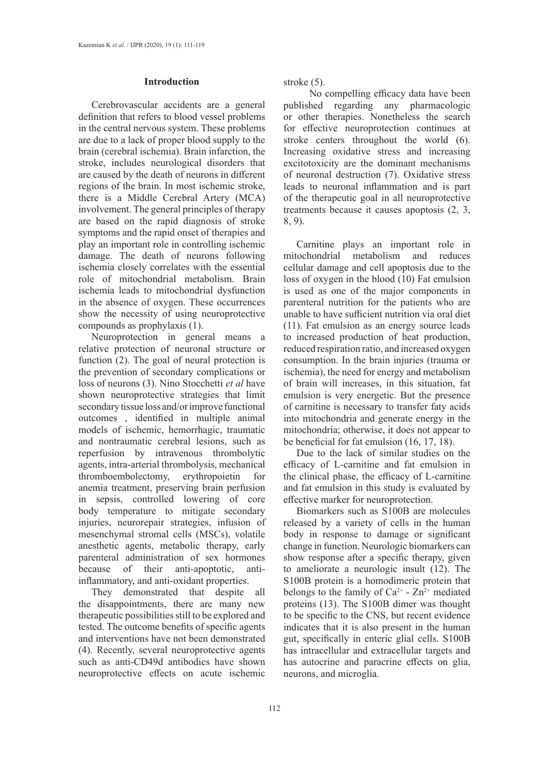# **Introduction**

Cerebrovascular accidents are a general definition that refers to blood vessel problems in the central nervous system. These problems are due to a lack of proper blood supply to the brain (cerebral ischemia). Brain infarction, the stroke, includes neurological disorders that are caused by the death of neurons in different regions of the brain. In most ischemic stroke, there is a Middle Cerebral Artery (MCA) involvement. The general principles of therapy are based on the rapid diagnosis of stroke symptoms and the rapid onset of therapies and play an important role in controlling ischemic damage. The death of neurons following ischemia closely correlates with the essential role of mitochondrial metabolism. Brain ischemia leads to mitochondrial dysfunction in the absence of oxygen. These occurrences show the necessity of using neuroprotective compounds as prophylaxis (1).

Neuroprotection in general means a relative protection of neuronal structure or function (2). The goal of neural protection is the prevention of secondary complications or loss of neurons (3). Nino Stocchetti *et al* have shown neuroprotective strategies that limit secondary tissue loss and/or improve functional outcomes , identified in multiple animal models of ischemic, hemorrhagic, traumatic and nontraumatic cerebral lesions, such as reperfusion by intravenous thrombolytic agents, intra-arterial thrombolysis, mechanical thromboembolectomy, erythropoietin for anemia treatment, preserving brain perfusion in sepsis, controlled lowering of core body temperature to mitigate secondary injuries, neurorepair strategies, infusion of mesenchymal stromal cells (MSCs), volatile anesthetic agents, metabolic therapy, early parenteral administration of sex hormones because of their anti-apoptotic, antiinflammatory, and anti-oxidant properties.

They demonstrated that despite all the disappointments, there are many new therapeutic possibilities still to be explored and tested. The outcome benefits of specific agents and interventions have not been demonstrated (4). Recently, several neuroprotective agents such as anti-CD49d antibodies have shown neuroprotective effects on acute ischemic

stroke (5).

 No compelling efficacy data have been published regarding any pharmacologic or other therapies. Nonetheless the search for effective neuroprotection continues at stroke centers throughout the world (6). Increasing oxidative stress and increasing excitotoxicity are the dominant mechanisms of neuronal destruction (7). Oxidative stress leads to neuronal inflammation and is part of the therapeutic goal in all neuroprotective treatments because it causes apoptosis (2, 3, 8, 9).

Carnitine plays an important role in mitochondrial metabolism and reduces cellular damage and cell apoptosis due to the loss of oxygen in the blood (10) Fat emulsion is used as one of the major components in parenteral nutrition for the patients who are unable to have sufficient nutrition via oral diet (11). Fat emulsion as an energy source leads to increased production of heat production, reduced respiration ratio, and increased oxygen consumption. In the brain injuries (trauma or ischemia), the need for energy and metabolism of brain will increases, in this situation, fat emulsion is very energetic. But the presence of carnitine is necessary to transfer faty acids into mitochondria and generate energy in the mitochondria; otherwise, it does not appear to be beneficial for fat emulsion (16, 17, 18).

Due to the lack of similar studies on the efficacy of L-carnitine and fat emulsion in the clinical phase, the efficacy of L-carnitine and fat emulsion in this study is evaluated by effective marker for neuroprotection.

Biomarkers such as S100B are molecules released by a variety of cells in the human body in response to damage or significant change in function. Neurologic biomarkers can show response after a specific therapy, given to ameliorate a neurologic insult (12). The S100B protein is a homodimeric protein that belongs to the family of  $Ca^{2+}$  -  $Zn^{2+}$  mediated proteins (13). The S100B dimer was thought to be specific to the CNS, but recent evidence indicates that it is also present in the human gut, specifically in enteric glial cells. S100B has intracellular and extracellular targets and has autocrine and paracrine effects on glia, neurons, and microglia.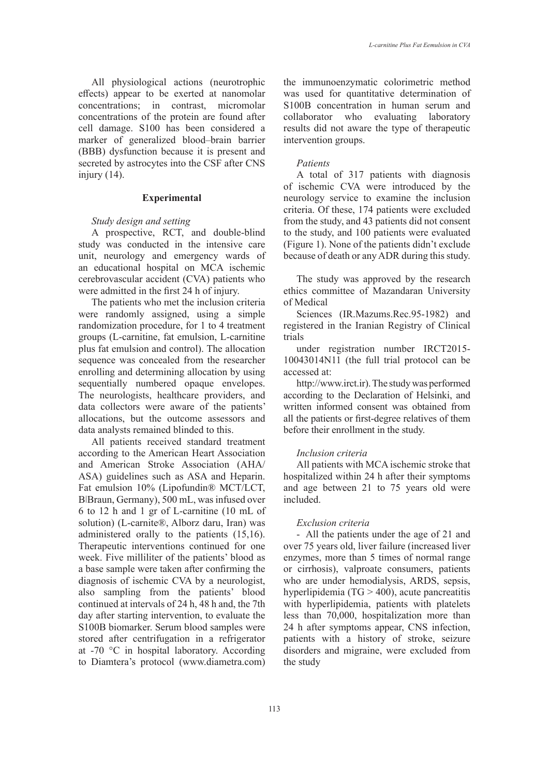All physiological actions (neurotrophic effects) appear to be exerted at nanomolar concentrations; in contrast, micromolar concentrations of the protein are found after cell damage. S100 has been considered a marker of generalized blood–brain barrier (BBB) dysfunction because it is present and secreted by astrocytes into the CSF after CNS injury (14).

## **Experimental**

# *Study design and setting*

A prospective, RCT, and double-blind study was conducted in the intensive care unit, neurology and emergency wards of an educational hospital on MCA ischemic cerebrovascular accident (CVA) patients who were admitted in the first 24 h of injury.

The patients who met the inclusion criteria were randomly assigned, using a simple randomization procedure, for 1 to 4 treatment groups (L-carnitine, fat emulsion, L-carnitine plus fat emulsion and control). The allocation sequence was concealed from the researcher enrolling and determining allocation by using sequentially numbered opaque envelopes. The neurologists, healthcare providers, and data collectors were aware of the patients' allocations, but the outcome assessors and data analysts remained blinded to this.

All patients received standard treatment according to the American Heart Association and American Stroke Association (AHA/ ASA) guidelines such as ASA and Heparin. Fat emulsion 10% (Lipofundin® MCT/LCT, BǀBraun, Germany), 500 mL, was infused over 6 to 12 h and 1 gr of L-carnitine (10 mL of solution) (L-carnite®, Alborz daru, Iran) was administered orally to the patients (15,16). Therapeutic interventions continued for one week. Five milliliter of the patients' blood as a base sample were taken after confirming the diagnosis of ischemic CVA by a neurologist, also sampling from the patients' blood continued at intervals of 24 h, 48 h and, the 7th day after starting intervention, to evaluate the S100B biomarker. Serum blood samples were stored after centrifugation in a refrigerator at -70 °C in hospital laboratory. According to Diamtera's protocol [\(www.diametra.com](http://www.diametra.com))

the immunoenzymatic colorimetric method was used for quantitative determination of S100B concentration in human serum and collaborator who evaluating laboratory results did not aware the type of therapeutic intervention groups.

## *Patients*

A total of 317 patients with diagnosis of ischemic CVA were introduced by the neurology service to examine the inclusion criteria. Of these, 174 patients were excluded from the study, and 43 patients did not consent to the study, and 100 patients were evaluated (Figure 1). None of the patients didn't exclude because of death or any ADR during this study.

The study was approved by the research ethics committee of Mazandaran University of Medical

Sciences (IR.Mazums.Rec.95-1982) and registered in the Iranian Registry of Clinical trials

under registration number IRCT2015- 10043014N11 (the full trial protocol can be accessed at:

http://www.irct.ir). The study was performed according to the Declaration of Helsinki, and written informed consent was obtained from all the patients or first-degree relatives of them before their enrollment in the study.

# *Inclusion criteria*

All patients with MCA ischemic stroke that hospitalized within 24 h after their symptoms and age between 21 to 75 years old were included.

#### *Exclusion criteria*

- All the patients under the age of 21 and over 75 years old, liver failure (increased liver enzymes, more than 5 times of normal range or cirrhosis), valproate consumers, patients who are under hemodialysis, ARDS, sepsis, hyperlipidemia (TG > 400), acute pancreatitis with hyperlipidemia, patients with platelets less than 70,000, hospitalization more than 24 h after symptoms appear, CNS infection, patients with a history of stroke, seizure disorders and migraine, were excluded from the study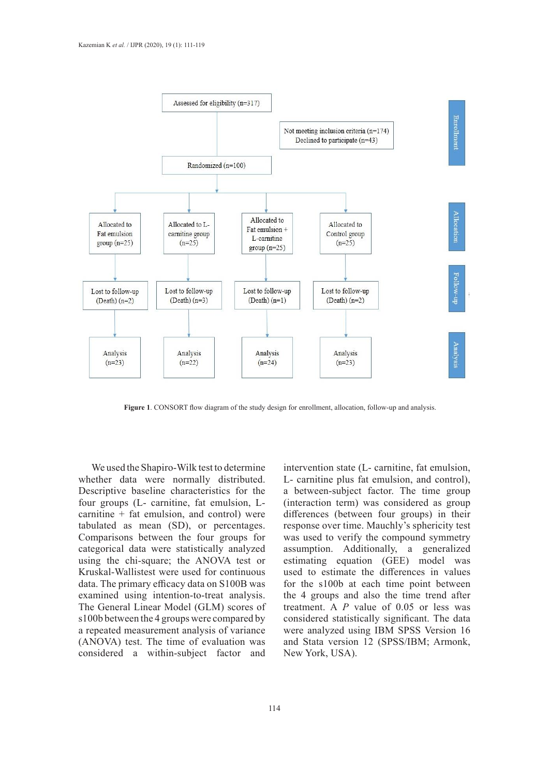

**Figure 1**. CONSORT flow diagram of the study design for enrollment, allocation, follow-up and analysis.

We used the Shapiro-Wilk test to determine whether data were normally distributed. Descriptive baseline characteristics for the four groups (L- carnitine, fat emulsion, Lcarnitine + fat emulsion, and control) were tabulated as mean (SD), or percentages. Comparisons between the four groups for categorical data were statistically analyzed using the chi-square; the ANOVA test or Kruskal-Wallistest were used for continuous data. The primary efficacy data on S100B was examined using intention-to-treat analysis. The General Linear Model (GLM) scores of s100b between the 4 groups were compared by a repeated measurement analysis of variance (ANOVA) test. The time of evaluation was considered a within-subject factor and intervention state (L- carnitine, fat emulsion, L- carnitine plus fat emulsion, and control), a between-subject factor. The time group (interaction term) was considered as group differences (between four groups) in their response over time. Mauchly's sphericity test was used to verify the compound symmetry assumption. Additionally, a generalized estimating equation (GEE) model was used to estimate the differences in values for the s100b at each time point between the 4 groups and also the time trend after treatment. A *P* value of 0.05 or less was considered statistically significant. The data were analyzed using IBM SPSS Version 16 and Stata version 12 (SPSS/IBM; Armonk, New York, USA).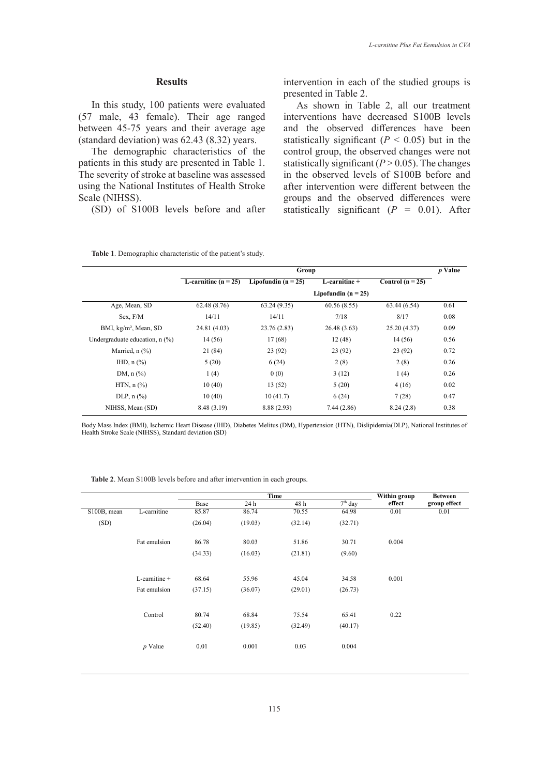## **Results**

In this study, 100 patients were evaluated (57 male, 43 female). Their age ranged between 45-75 years and their average age (standard deviation) was 62.43 (8.32) years.

The demographic characteristics of the patients in this study are presented in Table 1. The severity of stroke at baseline was assessed using the National Institutes of Health Stroke Scale (NIHSS).

(SD) of S100B levels before and after

intervention in each of the studied groups is presented in Table 2.

As shown in Table 2, all our treatment interventions have decreased S100B levels and the observed differences have been statistically significant  $(P < 0.05)$  but in the control group, the observed changes were not statistically significant  $(P > 0.05)$ . The changes in the observed levels of S100B before and after intervention were different between the groups and the observed differences were statistically significant  $(P = 0.01)$ . After

|                                     | Group                  |                       |                         |                    |      |  |
|-------------------------------------|------------------------|-----------------------|-------------------------|--------------------|------|--|
|                                     | L-carnitine $(n = 25)$ | Lipofundin $(n = 25)$ | $L$ -carnitine +        | Control $(n = 25)$ |      |  |
|                                     |                        |                       | Lipofundin ( $n = 25$ ) |                    |      |  |
| Age, Mean, SD                       | 62.48(8.76)            | 63.24(9.35)           | 60.56(8.55)             | 63.44(6.54)        | 0.61 |  |
| Sex. F/M                            | 14/11                  | 14/11                 | 7/18                    | 8/17               | 0.08 |  |
| BMI, kg/m <sup>2</sup> , Mean, SD   | 24.81 (4.03)           | 23.76 (2.83)          | 26.48 (3.63)            | 25.20 (4.37)       | 0.09 |  |
| Undergraduate education, $n$ $%$ )  | 14(56)                 | 17(68)                | 12(48)                  | 14(56)             | 0.56 |  |
| Married, $n$ $(\%)$                 | 21 (84)                | 23(92)                | 23(92)                  | 23(92)             | 0.72 |  |
| IHD, $n$ $%$                        | 5(20)                  | 6(24)                 | 2(8)                    | 2(8)               | 0.26 |  |
| DM, $n$ $%$                         | 1(4)                   | 0(0)                  | 3(12)                   | 1(4)               | 0.26 |  |
| HTN, $n$ $\left(\frac{9}{6}\right)$ | 10(40)                 | 13(52)                | 5(20)                   | 4(16)              | 0.02 |  |
| DLP, $n$ $\left(\frac{9}{6}\right)$ | 10(40)                 | 10(41.7)              | 6(24)                   | 7(28)              | 0.47 |  |
| NIHSS, Mean (SD)                    | 8.48 (3.19)            | 8.88 (2.93)           | 7.44(2.86)              | 8.24(2.8)          | 0.38 |  |

Body Mass Index (BMI), Ischemic Heart Disease (IHD), Diabetes Melitus (DM), Hypertension (HTN), Dislipidemia(DLP), National Institutes of Health Stroke Scale (NIHSS), Standard deviation (SD)

**Table 2**. Mean S100B levels before and after intervention in each groups.

|             |               | Time    |         |         | Within group | <b>Between</b> |              |
|-------------|---------------|---------|---------|---------|--------------|----------------|--------------|
|             |               | Base    | 24 h    | 48 h    | $7th$ day    | effect         | group effect |
| S100B, mean | L-carnitine   | 85.87   | 86.74   | 70.55   | 64.98        | 0.01           | 0.01         |
| (SD)        |               | (26.04) | (19.03) | (32.14) | (32.71)      |                |              |
|             | Fat emulsion  | 86.78   | 80.03   | 51.86   | 30.71        | 0.004          |              |
|             |               | (34.33) | (16.03) | (21.81) | (9.60)       |                |              |
|             | L-carnitine + | 68.64   | 55.96   | 45.04   | 34.58        | 0.001          |              |
|             |               |         |         |         |              |                |              |
|             | Fat emulsion  | (37.15) | (36.07) | (29.01) | (26.73)      |                |              |
|             | Control       | 80.74   | 68.84   | 75.54   | 65.41        | 0.22           |              |
|             |               | (52.40) | (19.85) | (32.49) | (40.17)      |                |              |
|             | $p$ Value     | 0.01    | 0.001   | 0.03    | 0.004        |                |              |
|             |               |         |         |         |              |                |              |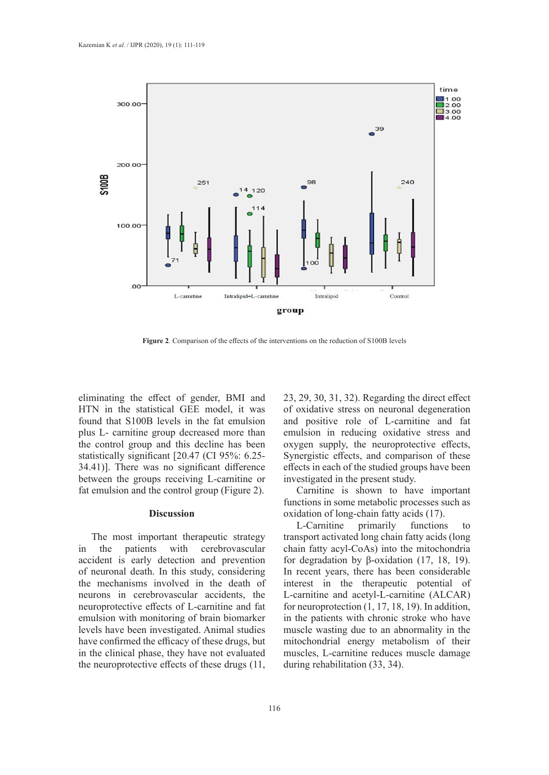

**Figure 2***.* Comparison of the effects of the interventions on the reduction of S100B levels **Figure 2***.* Comparison of the effects of the interventions on the reduction of S100B levels

eliminating the effect of gender, BMI and HTN in the statistical GEE model, it was found that S100B levels in the fat emulsion plus L- carnitine group decreased more than the control group and this decline has been statistically significant [20.47 (CI 95%: 6.25- 34.41)]. There was no significant difference between the groups receiving L-carnitine or fat emulsion and the control group (Figure 2).

## **Discussion**

The most important therapeutic strategy in the patients with cerebrovascular accident is early detection and prevention of neuronal death. In this study, considering the mechanisms involved in the death of neurons in cerebrovascular accidents, the neuroprotective effects of L-carnitine and fat emulsion with monitoring of brain biomarker levels have been investigated. Animal studies have confirmed the efficacy of these drugs, but in the clinical phase, they have not evaluated the neuroprotective effects of these drugs (11,

23, 29, 30, 31, 32). Regarding the direct effect of oxidative stress on neuronal degeneration and positive role of L-carnitine and fat emulsion in reducing oxidative stress and oxygen supply, the neuroprotective effects, Synergistic effects, and comparison of these effects in each of the studied groups have been investigated in the present study.

Carnitine is shown to have important functions in some metabolic processes such as oxidation of long-chain fatty acids (17).

L-Carnitine primarily functions to transport activated long chain fatty acids (long chain fatty acyl-CoAs) into the mitochondria for degradation by β-oxidation (17, 18, 19). In recent years, there has been considerable interest in the therapeutic potential of L-carnitine and acetyl-L-carnitine (ALCAR) for neuroprotection (1, 17, 18, 19). In addition, in the patients with chronic stroke who have muscle wasting due to an abnormality in the mitochondrial energy metabolism of their muscles, L-carnitine reduces muscle damage during rehabilitation (33, 34).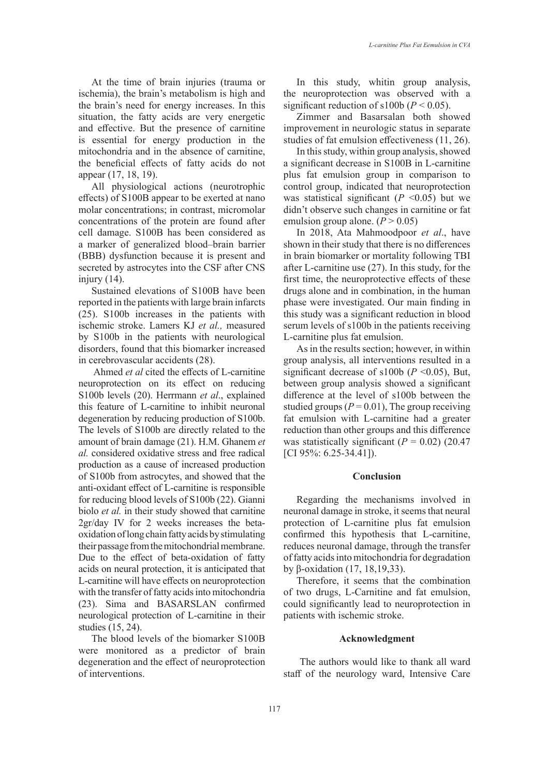At the time of brain injuries (trauma or ischemia), the brain's metabolism is high and the brain's need for energy increases. In this situation, the fatty acids are very energetic and effective. But the presence of carnitine is essential for energy production in the mitochondria and in the absence of carnitine, the beneficial effects of fatty acids do not appear (17, 18, 19).

All physiological actions (neurotrophic effects) of S100B appear to be exerted at nano molar concentrations; in contrast, micromolar concentrations of the protein are found after cell damage. S100B has been considered as a marker of generalized blood–brain barrier (BBB) dysfunction because it is present and secreted by astrocytes into the CSF after CNS injury  $(14)$ .

Sustained elevations of S100B have been reported in the patients with large brain infarcts (25). S100b increases in the patients with ischemic stroke. Lamers KJ *et al.,* measured by S100b in the patients with neurological disorders, found that this biomarker increased in cerebrovascular accidents (28).

 Ahmed *et al* cited the effects of L-carnitine neuroprotection on its effect on reducing S100b levels (20). Herrmann *et al*., explained this feature of L-carnitine to inhibit neuronal degeneration by reducing production of S100b. The levels of S100b are directly related to the amount of brain damage (21). H.M. Ghanem *et al.* considered oxidative stress and free radical production as a cause of increased production of S100b from astrocytes, and showed that the anti-oxidant effect of L-carnitine is responsible for reducing blood levels of S100b (22). Gianni biolo *et al.* in their study showed that carnitine 2gr/day IV for 2 weeks increases the betaoxidation of long chain fatty acids by stimulating their passage from the mitochondrial membrane. Due to the effect of beta-oxidation of fatty acids on neural protection, it is anticipated that L-carnitine will have effects on neuroprotection with the transfer of fatty acids into mitochondria (23). Sima and BASARSLAN confirmed neurological protection of L-carnitine in their studies (15, 24).

The blood levels of the biomarker S100B were monitored as a predictor of brain degeneration and the effect of neuroprotection of interventions.

In this study, whitin group analysis, the neuroprotection was observed with a significant reduction of s100b ( $P < 0.05$ ).

Zimmer and Basarsalan both showed improvement in neurologic status in separate studies of fat emulsion effectiveness (11, 26).

In this study, within group analysis, showed a significant decrease in S100B in L-carnitine plus fat emulsion group in comparison to control group, indicated that neuroprotection was statistical significant  $(P \le 0.05)$  but we didn't observe such changes in carnitine or fat emulsion group alone.  $(P > 0.05)$ 

In 2018, Ata Mahmoodpoor *et al*., have shown in their study that there is no differences in brain biomarker or mortality following TBI after L-carnitine use (27). In this study, for the first time, the neuroprotective effects of these drugs alone and in combination, in the human phase were investigated. Our main finding in this study was a significant reduction in blood serum levels of s100b in the patients receiving L-carnitine plus fat emulsion.

As in the results section; however, in within group analysis, all interventions resulted in a significant decrease of  $s100b$  ( $P \le 0.05$ ), But, between group analysis showed a significant difference at the level of s100b between the studied groups ( $P = 0.01$ ), The group receiving fat emulsion with L-carnitine had a greater reduction than other groups and this difference was statistically significant  $(P = 0.02)$  (20.47) [CI 95%: 6.25-34.41]).

## **Conclusion**

Regarding the mechanisms involved in neuronal damage in stroke, it seems that neural protection of L-carnitine plus fat emulsion confirmed this hypothesis that L-carnitine, reduces neuronal damage, through the transfer of fatty acids into mitochondria for degradation by β-oxidation (17, 18,19,33).

Therefore, it seems that the combination of two drugs, L-Carnitine and fat emulsion, could significantly lead to neuroprotection in patients with ischemic stroke.

# **Acknowledgment**

 The authors would like to thank all ward staff of the neurology ward, Intensive Care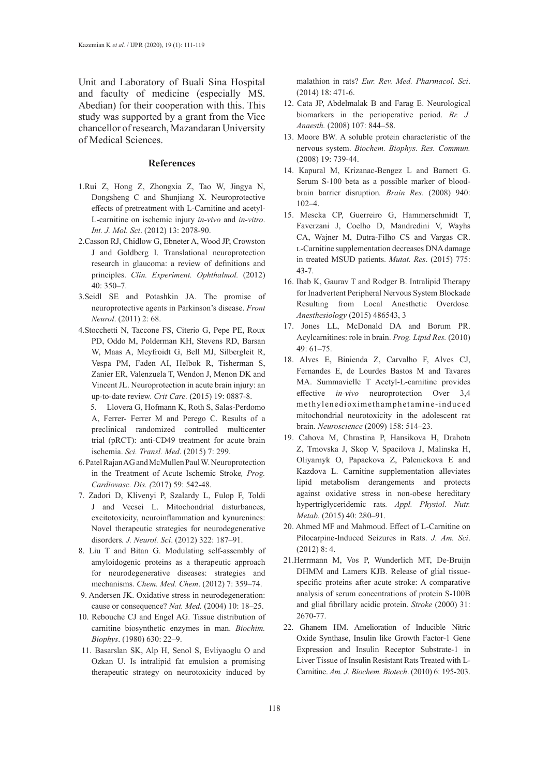Unit and Laboratory of Buali Sina Hospital and faculty of medicine (especially MS. Abedian) for their cooperation with this. This study was supported by a grant from the Vice chancellor of research, Mazandaran University of Medical Sciences.

## **References**

- 1.[Rui Z,](http://www.mdpi.com/search?authors=Rui Zhang) [Hong Z,](http://www.mdpi.com/search?authors=Hong Zhang) [Zhongxia Z](http://www.mdpi.com/search?authors=Zhongxia Zhang), [Tao W](http://www.mdpi.com/search?authors=Tao Wang), [Jingya N](http://www.mdpi.com/search?authors=Jingya Niu), [Dongsheng C](http://www.mdpi.com/search?authors=Dongsheng Cui) and [Shunjiang X](http://www.mdpi.com/search?authors=Shunjiang Xu). Neuroprotective effects of pretreatment with L-Carnitine and acetyl-L-carnitine on ischemic injury *in-vivo* and *in-vitro*. *Int. J. Mol. Sci*. (2012) 13: 2078-90.
- 2.Casson RJ, Chidlow G, Ebneter A, Wood JP, Crowston J and Goldberg I. Translational neuroprotection research in glaucoma: a review of definitions and principles. *Clin. Experiment. Ophthalmol.* (2012) 40: 350–7.
- 3.Seidl SE and Potashkin JA. The promise of neuroprotective agents in Parkinson's disease. *Front Neurol*. (2011) 2: 68.
- 4.Stocchetti N, Taccone FS, Citerio G, Pepe PE, Roux PD, Oddo M, Polderman KH, Stevens RD, Barsan W, Maas A, Meyfroidt G, Bell MJ, Silbergleit R, Vespa PM, Faden AI, Helbok R, Tisherman S, Zanier ER, Valenzuela T, Wendon J, Menon DK and Vincent JL. Neuroprotection in acute brain injury: an up-to-date review. *[Crit Care.](https://www.ncbi.nlm.nih.gov/pubmed/25896893)* (2015) 19: 0887-8.
	- 5. Llovera G, Hofmann K, Roth S, Salas-Perdomo A, Ferrer- Ferrer M and Perego C. Results of a preclinical randomized controlled multicenter trial (pRCT): anti-CD49 treatment for acute brain ischemia. *Sci. Transl. Med*. (2015) 7: 299.
- 6. Patel Rajan AG and McMullen Paul W. Neuroprotection in the Treatment of Acute Ischemic Stroke*, [Prog.](https://www.ncbi.nlm.nih.gov/pubmed/28465001)  [Cardiovasc. Dis.](https://www.ncbi.nlm.nih.gov/pubmed/28465001) (*2017) 59: 542-48.
- 7. Zadori D, Klivenyi P, Szalardy L, Fulop F, Toldi J and Vecsei L. Mitochondrial disturbances, excitotoxicity, neuroinflammation and kynurenines: Novel therapeutic strategies for neurodegenerative disorders*. J. Neurol. Sci*. (2012) 322: 187–91.
- 8. Liu T and Bitan G. Modulating self-assembly of amyloidogenic proteins as a therapeutic approach for neurodegenerative diseases: strategies and mechanisms. *Chem. Med. Chem*. (2012) 7: 359–74.
- 9. Andersen JK. Oxidative stress in neurodegeneration: cause or consequence? *Nat. Med.* (2004) 10: 18–25.
- 10. Rebouche CJ and Engel AG. Tissue distribution of carnitine biosynthetic enzymes in man. *Biochim. Biophys*. (1980) 630: 22–9.
- 11. Basarslan SK, Alp H, Senol S, Evliyaoglu O and Ozkan U. Is intralipid fat emulsion a promising therapeutic strategy on neurotoxicity induced by

malathion in rats? *[Eur. Rev. Med. Pharmacol. Sci](https://www.ncbi.nlm.nih.gov/pubmed/24610612)*. (2014) 18: 471-6.

- 12. Cata JP, Abdelmalak B and Farag E. Neurological biomarkers in the perioperative period. *Br. J. Anaesth.* (2008) 107: 844–58.
- 13. Moore BW. A soluble protein characteristic of the nervous system. *Biochem. Biophys. Res. Commun.* (2008) 19: 739-44.
- 14. Kapural M, Krizanac-Bengez L and Barnett G. Serum S-100 beta as a possible marker of bloodbrain barrier disruption*. Brain Res*. (2008) 940: 102–4.
- 15. Mescka CP, Guerreiro G, Hammerschmidt T, Faverzani J, Coelho D, Mandredini V, Wayhs CA, Wajner M, Dutra-Filho CS and Vargas CR. l-Carnitine supplementation decreases DNA damage in treated MSUD patients. *Mutat. Res*. (2015) 775: 43-7.
- 16. [Ihab K,](http://www.hindawi.com/67385408/) [Gaurav T](http://www.hindawi.com/70642032/) and [Rodger B](http://www.hindawi.com/87679083/). Intralipid Therapy for Inadvertent Peripheral Nervous System Blockade Resulting from Local Anesthetic Overdose*. Anesthesiology* (2015) 486543, 3
- 17. Jones LL, McDonald DA and Borum PR. Acylcarnitines: role in brain. *Prog. Lipid Res.* (2010) 49: 61–75.
- 18. Alves E, Binienda Z, Carvalho F, Alves CJ, Fernandes E, de Lourdes Bastos M and Tavares MA. Summavielle T Acetyl-L-carnitine provides effective *in-vivo* neuroprotection Over 3,4 methylenedioximethamphetamine-induced mitochondrial neurotoxicity in the adolescent rat brain. *Neuroscience* (2009) 158: 514–23.
- 19. Cahova M, Chrastina P, Hansikova H, Drahota Z, Trnovska J, Skop V, Spacilova J, Malinska H, Oliyarnyk O, Papackova Z, Palenickova E and Kazdova L. Carnitine supplementation alleviates lipid metabolism derangements and protects against oxidative stress in non-obese hereditary hypertriglyceridemic rats*. Appl. Physiol. Nutr. Metab*. (2015) 40: 280–91.
- 20. Ahmed MF and Mahmoud. Effect of L-Carnitine on Pilocarpine-Induced Seizures in Rats. *J. Am. Sci*. (2012) 8: 4.
- 21.Herrmann M, Vos P, Wunderlich MT, De-Bruijn DHMM and Lamers KJB. Release of glial tissuespecific proteins after acute stroke: A comparative analysis of serum concentrations of protein S-100B and glial fibrillary acidic protein. *Stroke* (2000) 31: 2670-77.
- 22. Ghanem HM. Amelioration of Inducible Nitric Oxide Synthase, Insulin like Growth Factor-1 Gene Expression and Insulin Receptor Substrate-1 in Liver Tissue of Insulin Resistant Rats Treated with L-Carnitine. *Am. J. Biochem. Biotech*. (2010) 6: 195-203.